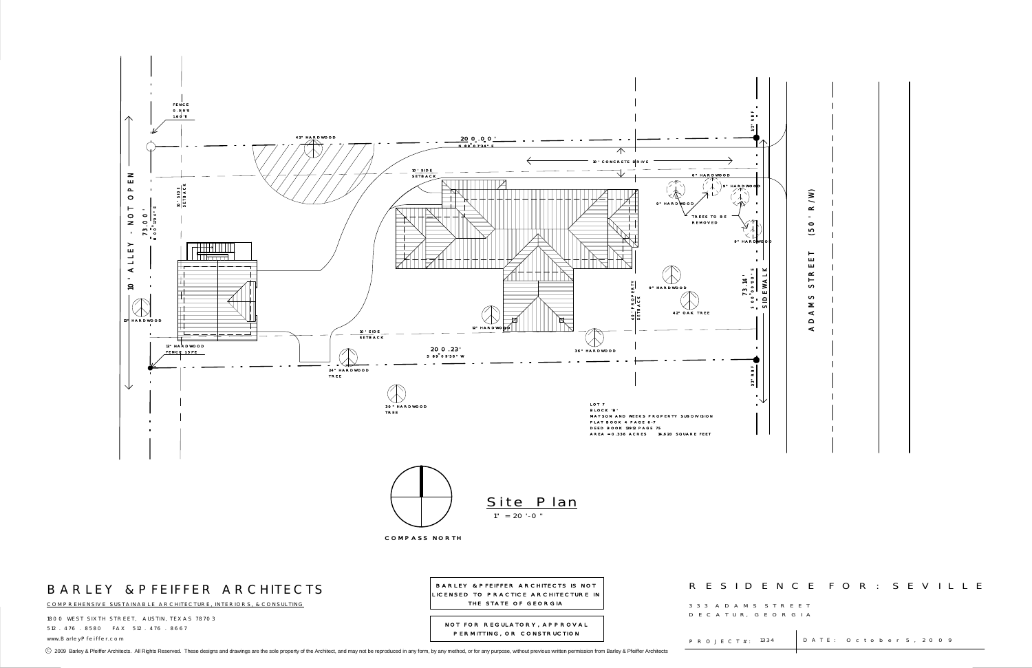

1800 WEST SIXTH STREET, AUSTIN, TEXAS 78703 512 . 476 . 8580 FAX 512 . 476 . 8667www.BarleyPfeiffer.com P R O J E C T # :

COMPREHENSIVE SUSTAINABLE ARCHITECTURE, INTERIORS, & CONSULTING

LICENSED TO PRACTICE ARCHITECTURE IN THE STATE OF GEORGIA

 3 3 3 A D A M S S T R E E TD E C A T U R, G E O R G I A

P R O J E C T # : 1334

⊙ 2009 Barley & Pfeiffer Architects. All Rights Reserved. These designs and drawings are the sole property of the Architect, and may not be reproduced in any form, by any method, or for any purpose, without previous writt

: 1334 | DATE: October 5, 2009

NOT FOR REGULATORY, APPROVAL PERMITTING, OR CONSTRUCTION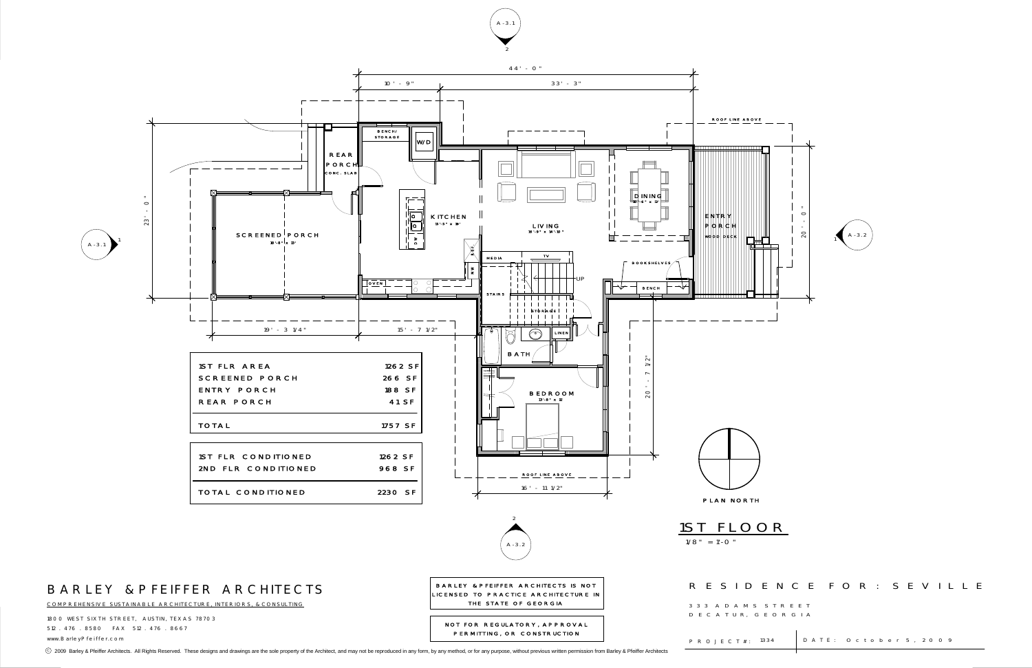

1800 WEST SIXTH STREET, AUSTIN, TEXAS 78703 512 . 476 . 8580 FAX 512 . 476 . 8667www.BarleyPfeiffer.com P R O J E C T # :



COMPREHENSIVE SUSTAINABLE ARCHITECTURE, INTERIORS, & CONSULTING

THE STATE OF GEORGIA

 3 3 3 A D A M S S T R E E TD E C A T U R, G E O R G I A

P R O J E C T # : 1334

⊙ 2009 Barley & Pfeiffer Architects. All Rights Reserved. These designs and drawings are the sole property of the Architect, and may not be reproduced in any form, by any method, or for any purpose, without previous writt

### R E S I D E N C E F O R : S E V I L L E

: 1334 | DATE: October 5, 2009

NOT FOR REGULATORY, APPROVAL PERMITTING, OR CONSTRUCTION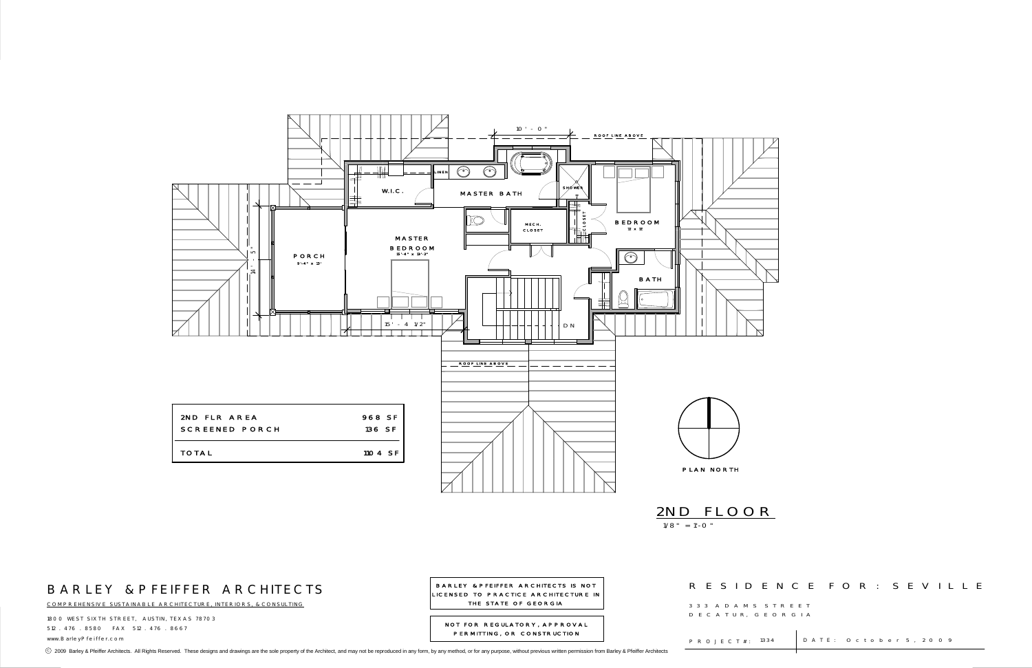1800 WEST SIXTH STREET, AUSTIN, TEXAS 78703 512 . 476 . 8580 FAX 512 . 476 . 8667www.BarleyPfeiffer.com P R O J E C T # :



COMPREHENSIVE SUSTAINABLE ARCHITECTURE, INTERIORS, & CONSULTING

BARLEY & PFEIFFER ARCHITECTS IS NOT LICENSED TO PRACTICE ARCHITECTURE IN THE STATE OF GEORGIA

 3 3 3 A D A M S S T R E E TD E C A T U R, G E O R G I A

P R O J E C T # : 1334

⊙ 2009 Barley & Pfeiffer Architects. All Rights Reserved. These designs and drawings are the sole property of the Architect, and may not be reproduced in any form, by any method, or for any purpose, without previous writt

### R E S I D E N C E F O R : S E V I L L E

: 1334 | DATE: October 5, 2009

NOT FOR REGULATORY, APPROVAL PERMITTING, OR CONSTRUCTION

## 1/8" = 1'-0" 2ND FLOOR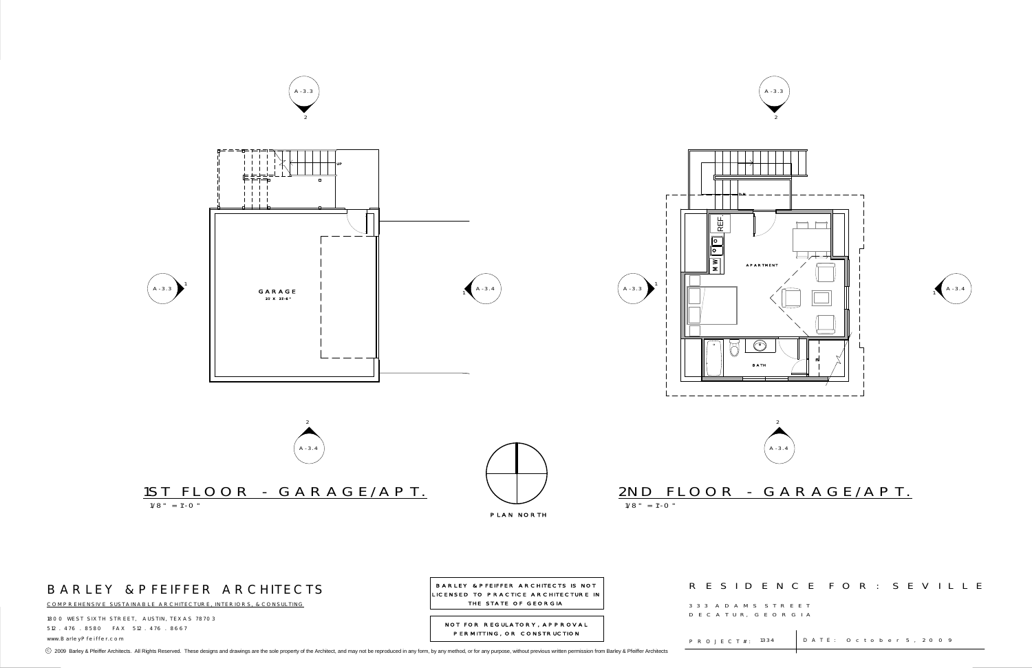

### R E S I D E N C E F O R : S E V I L L E

: 1334 | DATE: October 5, 2009

1800 WEST SIXTH STREET, AUSTIN, TEXAS 78703 512 . 476 . 8580 FAX 512 . 476 . 8667www.BarleyPfeiffer.com P R O J E C T # :



COMPREHENSIVE SUSTAINABLE ARCHITECTURE, INTERIORS, & CONSULTING

 3 3 3 A D A M S S T R E E TD E C A T U R, G E O R G I A

P R O J E C T # : 1334

⊙ 2009 Barley & Pfeiffer Architects. All Rights Reserved. These designs and drawings are the sole property of the Architect, and may not be reproduced in any form, by any method, or for any purpose, without previous writt

THE STATE OF GEORGIANOT FOR REGULATORY, APPROVAL

PERMITTING, OR CONSTRUCTION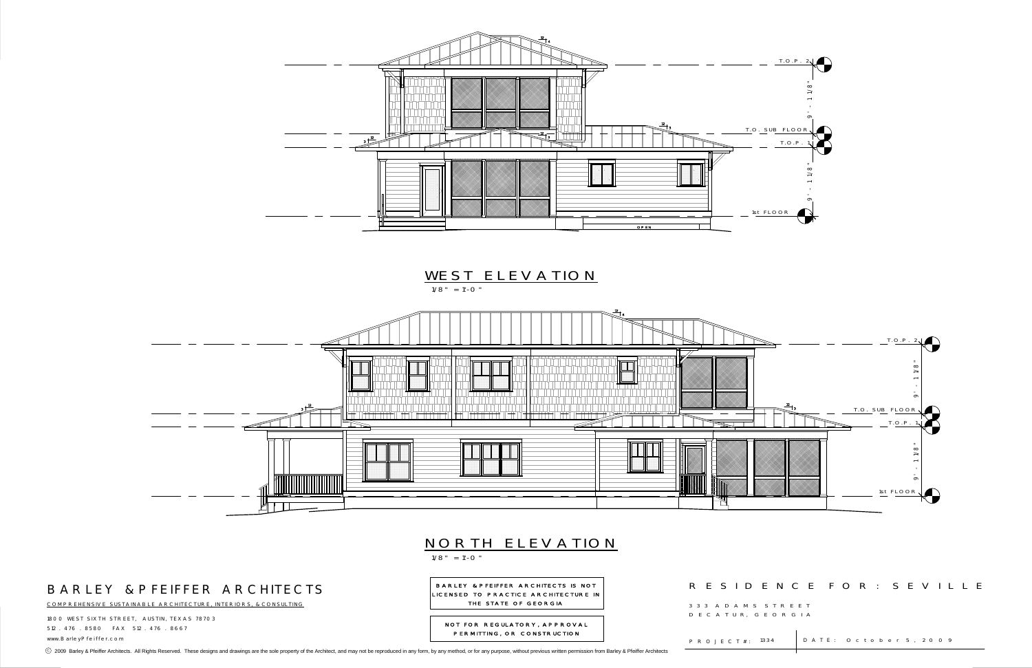

1800 WEST SIXTH STREET, AUSTIN, TEXAS 78703 512 . 476 . 8580 FAX 512 . 476 . 8667www.BarleyPfeiffer.com P R O J E C T # :

⊙ 2009 Barley & Pfeiffer Architects. All Rights Reserved. These designs and drawings are the sole property of the Architect, and may not be reproduced in any form, by any method, or for any purpose, without previous writt

#### R E S I D E N C E F O R : S E V I L L E

: 1334 | DATE: October 5, 2009



COMPREHENSIVE SUSTAINABLE ARCHITECTURE, INTERIORS, & CONSULTING

BARLEY & PFEIFFER ARCHITECTS IS NOT LICENSED TO PRACTICE ARCHITECTURE IN THE STATE OF GEORGIA

 3 3 3 A D A M S S T R E E TD E C A T U R, G E O R G I A

P R O J E C T # : 1334

NOT FOR REGULATORY, APPROVAL PERMITTING, OR CONSTRUCTION

1/8" = 1'-0"

# NORTH ELEVATION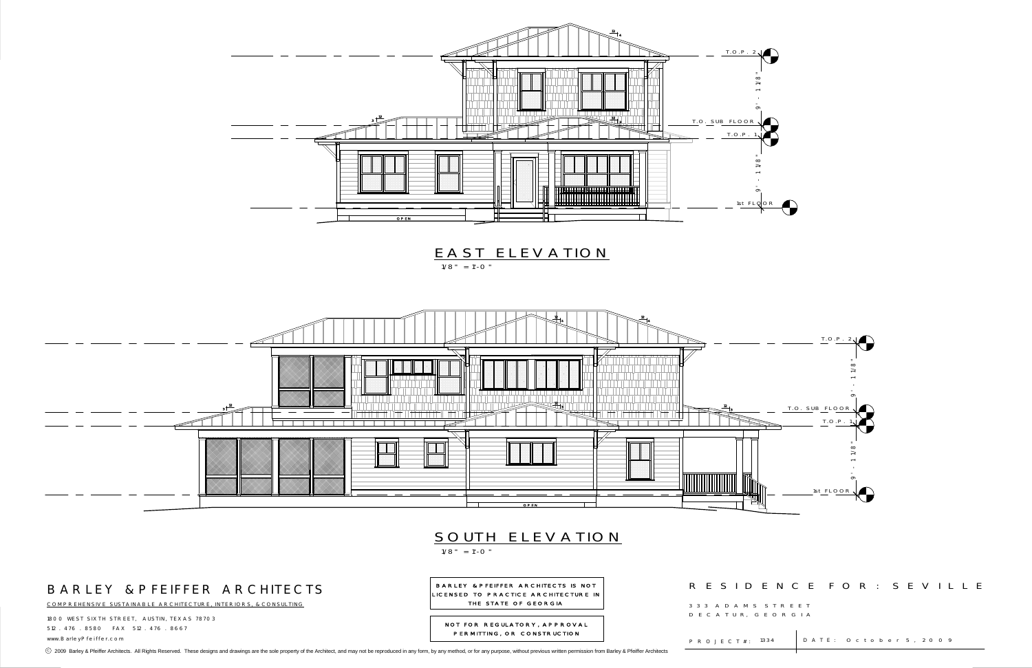

1800 WEST SIXTH STREET, AUSTIN, TEXAS 78703 512 . 476 . 8580 FAX 512 . 476 . 8667 www.BarleyPfeiffer.com P R O J E C T # :

⊙ 2009 Barley & Pfeiffer Architects. All Rights Reserved. These designs and drawings are the sole property of the Architect, and may not be reproduced in any form, by any method, or for any purpose, without previous writt



|                           | DENCE FOR : SEVILLE          |  |  |
|---------------------------|------------------------------|--|--|
| S STREET<br>G E O R G I A |                              |  |  |
| i.                        | 1334   DATE: October 5, 2009 |  |  |

COMPREHENSIVE SUSTAINABLE ARCHITECTURE, INTERIORS, & CONSULTING

BARLEY & PFEIFFER ARCHITECTS IS NOT LICENSED TO PRACTICE ARCHITECTURE IN THE STATE OF GEORGIA

NOT FOR REGULATORY, APPROVAL PERMITTING, OR CONSTRUCTION

### R E S I D

3 3 3 A D A M S D E C A T U R, G

1/8" = 1'-0"

## SOUTH ELEVATION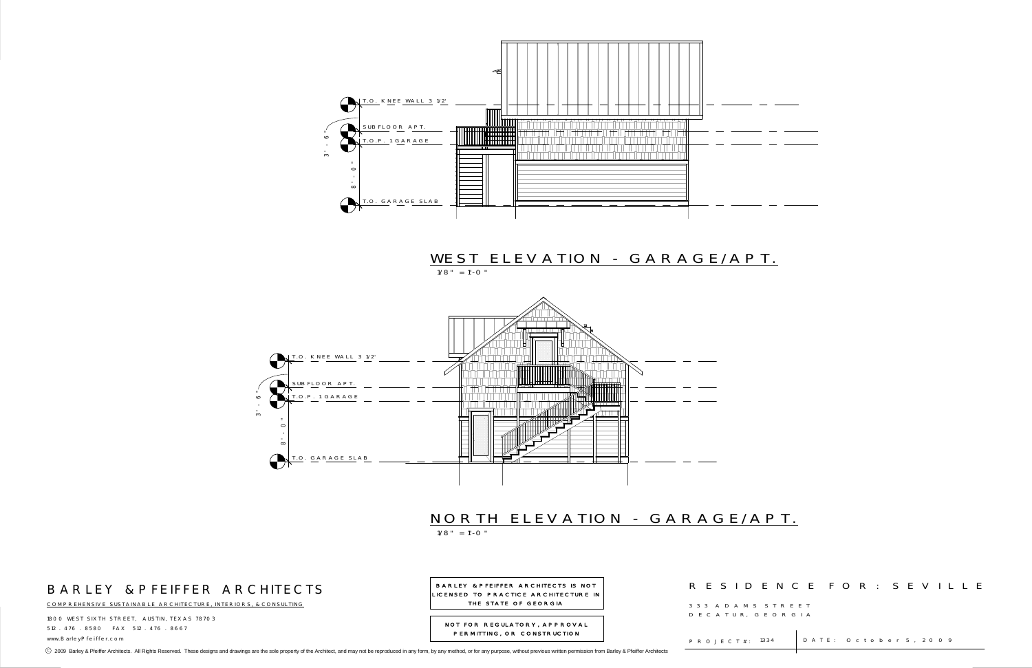



1800 WEST SIXTH STREET, AUSTIN, TEXAS 78703 512 . 476 . 8580 FAX 512 . 476 . 8667www.BarleyPfeiffer.com P R O J E C T # :

|                           | DENCE FOR : SEVILLE   |  |
|---------------------------|-----------------------|--|
| S STREET<br>G E O R G I A |                       |  |
| 1334<br>÷.                | DATE: October 5, 2009 |  |
|                           |                       |  |



COMPREHENSIVE SUSTAINABLE ARCHITECTURE, INTERIORS, & CONSULTING

BARLEY & PFEIFFER ARCHITECTS IS NOT LICENSED TO PRACTICE ARCHITECTURE IN THE STATE OF GEORGIA

NOT FOR REGULATORY, APPROVAL PERMITTING, OR CONSTRUCTION

### R E S I D

3 3 3 A D A M S D E C A T U R,

⊙ 2009 Barley & Pfeiffer Architects. All Rights Reserved. These designs and drawings are the sole property of the Architect, and may not be reproduced in any form, by any method, or for any purpose, without previous writt

## WEST ELEVATION - GARAGE/APT.

 $1/8" = 1'-0"$ 

1/8" = 1'-0"

# NORTH ELEVATION - GARAGE/APT.